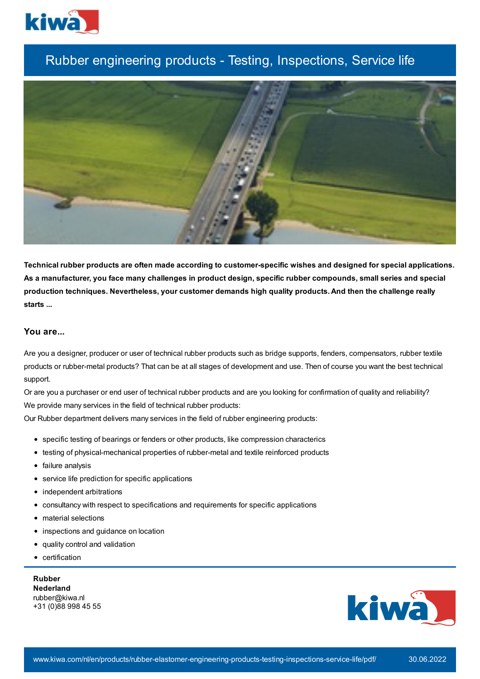

# Rubber engineering products - Testing, Inspections, Service life



**Technical rubber products are often made according to customer-specific wishes and designed for special applications.** As a manufacturer, you face many challenges in product design, specific rubber compounds, small series and special **production techniques. Nevertheless, your customer demands high quality products. And then the challenge really starts ...**

# **You are...**

Are you a designer, producer or user of technical rubber products such as bridge supports, fenders, compensators, rubber textile products or rubber-metal products? That can be at all stages of development and use. Then of course you want the best technical support.

Or are you a purchaser or end user of technical rubber products and are you looking for confirmation of quality and reliability? We provide many services in the field of technical rubber products:

Our Rubber department delivers many services in the field of rubber engineering products:

- specific testing of bearings or fenders or other products, like compression characterics
- testing of physical-mechanical properties of rubber-metal and textile reinforced products
- failure analysis
- service life prediction for specific applications
- independent arbitrations
- consultancy with respect to specifications and requirements for specific applications
- material selections
- inspections and guidance on location
- quality control and validation  $\bullet$
- certification

**Rubber Nederland** rubber@kiwa.nl +31 (0)88 998 45 55